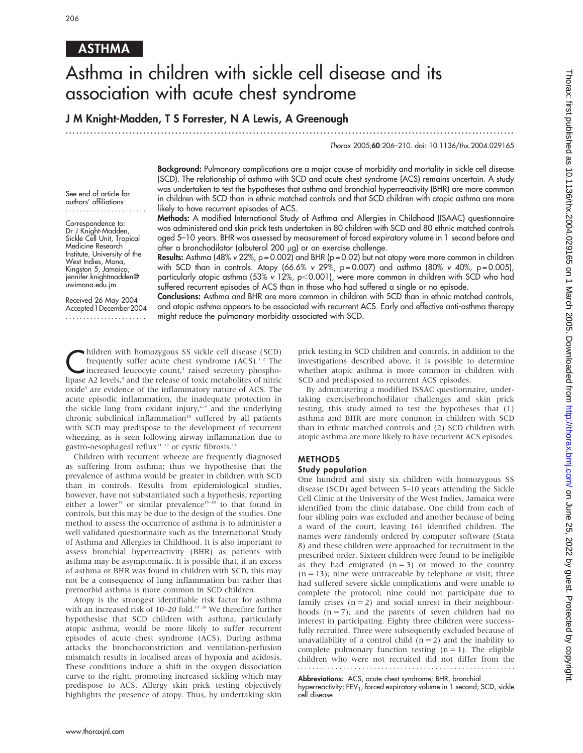# ASTHMA

# Asthma in children with sickle cell disease and its association with acute chest syndrome

# J M Knight-Madden, T S Forrester, N A Lewis, A Greenough

...............................................................................................................................

Thorax 2005;60:206–210. doi: 10.1136/thx.2004.029165

Background: Pulmonary complications are a major cause of morbidity and mortality in sickle cell disease (SCD). The relationship of asthma with SCD and acute chest syndrome (ACS) remains uncertain. A study was undertaken to test the hypotheses that asthma and bronchial hyperreactivity (BHR) are more common in children with SCD than in ethnic matched controls and that SCD children with atopic asthma are more likely to have recurrent episodes of ACS.

Methods: A modified International Study of Asthma and Allergies in Childhood (ISAAC) questionnaire was administered and skin prick tests undertaken in 80 children with SCD and 80 ethnic matched controls aged 5–10 years. BHR was assessed by measurement of forced expiratory volume in 1 second before and after a bronchodilator (albuterol 200  $\mu$ g) or an exercise challenge.

**Results:** Asthma (48% v 22%,  $p = 0.002$ ) and BHR ( $p = 0.02$ ) but not atopy were more common in children with SCD than in controls. Atopy (66.6% v 29%, p=0.007) and asthma (80% v 40%, p=0.005), particularly atopic asthma (53% v 12%, p<0.001), were more common in children with SCD who had suffered recurrent episodes of ACS than in those who had suffered a single or no episode.

Conclusions: Asthma and BHR are more common in children with SCD than in ethnic matched controls, and atopic asthma appears to be associated with recurrent ACS. Early and effective anti-asthma therapy might reduce the pulmonary morbidity associated with SCD.

hildren with homozygous SS sickle cell disease (SCD)<br>frequently suffer acute chest syndrome (ACS).<sup>1,2</sup> The<br>increased leucocyte count,<sup>3</sup> raised secretory phospho-<br>linese 4.2 layels,<sup>4</sup> and the release of toxic matebolitie frequently suffer acute chest syndrome  $(ACS)^{1/2}$  The lipase A2 levels,<sup>4</sup> and the release of toxic metabolites of nitric oxide<sup>5</sup> are evidence of the inflammatory nature of ACS. The acute episodic inflammation, the inadequate protection in the sickle lung from oxidant injury, $6-9$  and the underlying chronic subclinical inflammation<sup>10</sup> suffered by all patients with SCD may predispose to the development of recurrent wheezing, as is seen following airway inflammation due to gastro-oesophageal reflux<sup>11</sup> <sup>12</sup> or cystic fibrosis.<sup>13</sup>

Children with recurrent wheeze are frequently diagnosed as suffering from asthma; thus we hypothesise that the prevalence of asthma would be greater in children with SCD than in controls. Results from epidemiological studies, however, have not substantiated such a hypothesis, reporting either a lower<sup>14</sup> or similar prevalence<sup>15–18</sup> to that found in controls, but this may be due to the design of the studies. One method to assess the occurrence of asthma is to administer a well validated questionnaire such as the International Study of Asthma and Allergies in Childhood. It is also important to assess bronchial hyperreactivity (BHR) as patients with asthma may be asymptomatic. It is possible that, if an excess of asthma or BHR was found in children with SCD, this may not be a consequence of lung inflammation but rather that premorbid asthma is more common in SCD children.

Atopy is the strongest identifiable risk factor for asthma with an increased risk of 10-20 fold.<sup>19 20</sup> We therefore further hypothesise that SCD children with asthma, particularly atopic asthma, would be more likely to suffer recurrent episodes of acute chest syndrome (ACS). During asthma attacks the bronchoconstriction and ventilation-perfusion mismatch results in localised areas of hypoxia and acidosis. These conditions induce a shift in the oxygen dissociation curve to the right, promoting increased sickling which may predispose to ACS. Allergy skin prick testing objectively highlights the presence of atopy. Thus, by undertaking skin prick testing in SCD children and controls, in addition to the investigations described above, it is possible to determine whether atopic asthma is more common in children with SCD and predisposed to recurrent ACS episodes.

By administering a modified ISSAC questionnaire, undertaking exercise/bronchodilator challenges and skin prick testing, this study aimed to test the hypotheses that (1) asthma and BHR are more common in children with SCD than in ethnic matched controls and (2) SCD children with atopic asthma are more likely to have recurrent ACS episodes.

# METHODS

#### Study population

One hundred and sixty six children with homozygous SS disease (SCD) aged between 5–10 years attending the Sickle Cell Clinic at the University of the West Indies, Jamaica were identified from the clinic database. One child from each of four sibling pairs was excluded and another because of being a ward of the court, leaving 161 identified children. The names were randomly ordered by computer software (Stata 8) and these children were approached for recruitment in the prescribed order. Sixteen children were found to be ineligible as they had emigrated  $(n = 3)$  or moved to the country  $(n = 13)$ ; nine were untraceable by telephone or visit; three had suffered severe sickle complications and were unable to complete the protocol; nine could not participate due to family crises  $(n = 2)$  and social unrest in their neighbourhoods  $(n = 7)$ ; and the parents of seven children had no interest in participating. Eighty three children were successfully recruited. Three were subsequently excluded because of unavailability of a control child  $(n = 2)$  and the inability to complete pulmonary function testing  $(n = 1)$ . The eligible children who were not recruited did not differ from the

Abbreviations: ACS, acute chest syndrome; BHR, bronchial hyperreactivity; FEV<sub>1</sub>, forced expiratory volume in 1 second; SCD, sickle cell disease

See end of article for authors' affiliations .......................

Correspondence to: Dr J Knight-Madden, Sickle Cell Unit, Tropical Medicine Research Institute, University of the West Indies, Mona, Kingston 5, Jamaica; jennifer.knightmadden@ uwimona.edu.jm

Received 26 May 2004 Accepted1December2004 .......................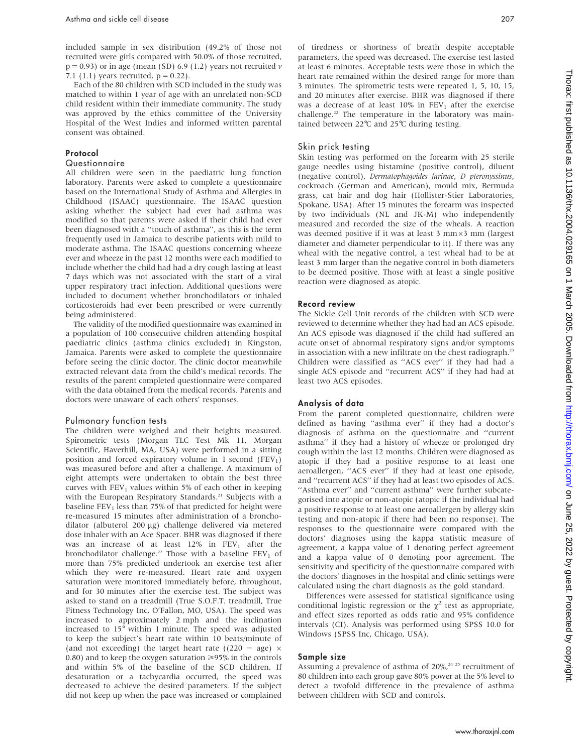included sample in sex distribution (49.2% of those not recruited were girls compared with 50.0% of those recruited,  $p = 0.93$ ) or in age (mean (SD) 6.9 (1.2) years not recruited  $\nu$ 7.1 (1.1) years recruited,  $p = 0.22$ ).

Each of the 80 children with SCD included in the study was matched to within 1 year of age with an unrelated non-SCD child resident within their immediate community. The study was approved by the ethics committee of the University Hospital of the West Indies and informed written parental consent was obtained.

# Protocol

#### Questionnaire

All children were seen in the paediatric lung function laboratory. Parents were asked to complete a questionnaire based on the International Study of Asthma and Allergies in Childhood (ISAAC) questionnaire. The ISAAC question asking whether the subject had ever had asthma was modified so that parents were asked if their child had ever been diagnosed with a ''touch of asthma'', as this is the term frequently used in Jamaica to describe patients with mild to moderate asthma. The ISAAC questions concerning wheeze ever and wheeze in the past 12 months were each modified to include whether the child had had a dry cough lasting at least 7 days which was not associated with the start of a viral upper respiratory tract infection. Additional questions were included to document whether bronchodilators or inhaled corticosteroids had ever been prescribed or were currently being administered.

The validity of the modified questionnaire was examined in a population of 100 consecutive children attending hospital paediatric clinics (asthma clinics excluded) in Kingston, Jamaica. Parents were asked to complete the questionnaire before seeing the clinic doctor. The clinic doctor meanwhile extracted relevant data from the child's medical records. The results of the parent completed questionnaire were compared with the data obtained from the medical records. Parents and doctors were unaware of each others' responses.

#### Pulmonary function tests

The children were weighed and their heights measured. Spirometric tests (Morgan TLC Test Mk 11, Morgan Scientific, Haverhill, MA, USA) were performed in a sitting position and forced expiratory volume in 1 second  $(FEV_1)$ was measured before and after a challenge. A maximum of eight attempts were undertaken to obtain the best three curves with  $FEV<sub>1</sub>$  values within 5% of each other in keeping with the European Respiratory Standards.<sup>21</sup> Subjects with a baseline  $FEV<sub>1</sub>$  less than 75% of that predicted for height were re-measured 15 minutes after administration of a bronchodilator (albuterol 200 µg) challenge delivered via metered dose inhaler with an Ace Spacer. BHR was diagnosed if there was an increase of at least  $12\%$  in  $FEV<sub>1</sub>$  after the bronchodilator challenge.<sup>22</sup> Those with a baseline  $FEV<sub>1</sub>$  of more than 75% predicted undertook an exercise test after which they were re-measured. Heart rate and oxygen saturation were monitored immediately before, throughout, and for 30 minutes after the exercise test. The subject was asked to stand on a treadmill (True S.O.F.T. treadmill, True Fitness Technology Inc, O'Fallon, MO, USA). The speed was increased to approximately 2 mph and the inclination increased to 15˚ within 1 minute. The speed was adjusted to keep the subject's heart rate within 10 beats/minute of (and not exceeding) the target heart rate ((220 - age)  $\times$ 0.80) and to keep the oxygen saturation  $\geq 95\%$  in the controls and within 5% of the baseline of the SCD children. If desaturation or a tachycardia occurred, the speed was decreased to achieve the desired parameters. If the subject did not keep up when the pace was increased or complained

of tiredness or shortness of breath despite acceptable parameters, the speed was decreased. The exercise test lasted at least 6 minutes. Acceptable tests were those in which the heart rate remained within the desired range for more than 3 minutes. The spirometric tests were repeated 1, 5, 10, 15, and 20 minutes after exercise. BHR was diagnosed if there was a decrease of at least  $10\%$  in  $FEV<sub>1</sub>$  after the exercise challenge.<sup>22</sup> The temperature in the laboratory was maintained between 22 $^{\circ}$ C and 25 $^{\circ}$ C during testing.

# Skin prick testing

Skin testing was performed on the forearm with 25 sterile gauge needles using histamine (positive control), diluent (negative control), Dermatophagoides farinae, D pteronyssinus, cockroach (German and American), mould mix, Bermuda grass, cat hair and dog hair (Hollister-Stier Laboratories, Spokane, USA). After 15 minutes the forearm was inspected by two individuals (NL and JK-M) who independently measured and recorded the size of the wheals. A reaction was deemed positive if it was at least 3 mm ×3 mm (largest diameter and diameter perpendicular to it). If there was any wheal with the negative control, a test wheal had to be at least 3 mm larger than the negative control in both diameters to be deemed positive. Those with at least a single positive reaction were diagnosed as atopic.

# Record review

The Sickle Cell Unit records of the children with SCD were reviewed to determine whether they had had an ACS episode. An ACS episode was diagnosed if the child had suffered an acute onset of abnormal respiratory signs and/or symptoms in association with a new infiltrate on the chest radiograph.<sup>23</sup> Children were classified as ''ACS ever'' if they had had a single ACS episode and ''recurrent ACS'' if they had had at least two ACS episodes.

# Analysis of data

From the parent completed questionnaire, children were defined as having ''asthma ever'' if they had a doctor's diagnosis of asthma on the questionnaire and ''current asthma'' if they had a history of wheeze or prolonged dry cough within the last 12 months. Children were diagnosed as atopic if they had a positive response to at least one aeroallergen, ''ACS ever'' if they had at least one episode, and ''recurrent ACS'' if they had at least two episodes of ACS. "Asthma ever" and "current asthma" were further subcategorised into atopic or non-atopic (atopic if the individual had a positive response to at least one aeroallergen by allergy skin testing and non-atopic if there had been no response). The responses to the questionnaire were compared with the doctors' diagnoses using the kappa statistic measure of agreement, a kappa value of 1 denoting perfect agreement and a kappa value of 0 denoting poor agreement. The sensitivity and specificity of the questionnaire compared with the doctors' diagnoses in the hospital and clinic settings were calculated using the chart diagnosis as the gold standard.

Differences were assessed for statistical significance using conditional logistic regression or the  $\chi^2$  test as appropriate, and effect sizes reported as odds ratio and 95% confidence intervals (CI). Analysis was performed using SPSS 10.0 for Windows (SPSS Inc, Chicago, USA).

# Sample size

Assuming a prevalence of asthma of  $20\%$ ,<sup>24,25</sup> recruitment of 80 children into each group gave 80% power at the 5% level to detect a twofold difference in the prevalence of asthma between children with SCD and controls.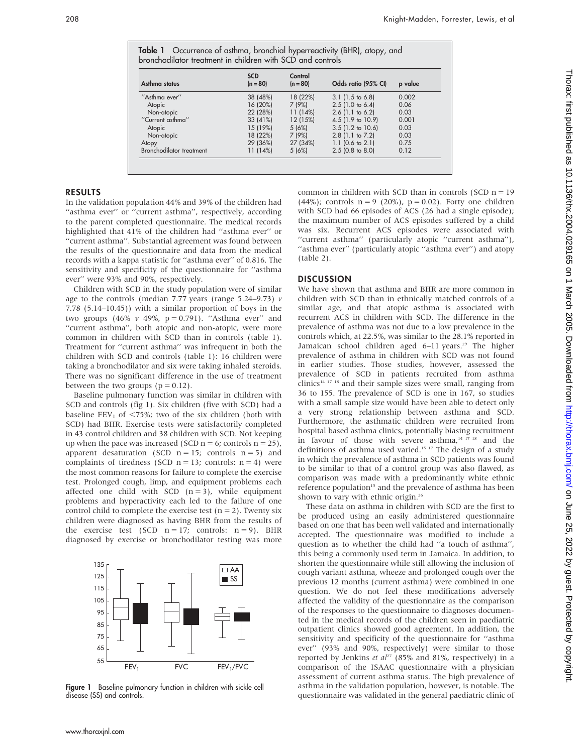Table 1 Occurrence of asthma, bronchial hyperreactivity (BHR), atopy, and bronchodilator treatment in children with SCD and controls

| Asthma status                   | <b>SCD</b><br>$(n = 80)$ | Control<br>$(n = 80)$ | Odds ratio (95% CI)         | p value |
|---------------------------------|--------------------------|-----------------------|-----------------------------|---------|
| "Asthma ever"                   | 38 (48%)                 | 18 (22%)              | $3.1$ (1.5 to 6.8)          | 0.002   |
| Atopic                          | 16 (20%)                 | 7(9%)                 | $2.5(1.0 \text{ to } 6.4)$  | 0.06    |
| Non-atopic                      | 22 (28%)                 | 11(14%)               | $2.6$ (1.1 to 6.2)          | 0.03    |
| "Current asthma"                | 33 (41%)                 | 12 (15%)              | 4.5 (1.9 to 10.9)           | 0.001   |
| Atopic                          | 15 (19%)                 | 5(6%)                 | $3.5(1.2 \text{ to } 10.6)$ | 0.03    |
| Non-atopic                      | 18 (22%)                 | 7(9%)                 | $2.8$ (1.1 to 7.2)          | 0.03    |
| Atopy                           | 29 (36%)                 | 27 (34%)              | 1.1 $(0.6 \text{ to } 2.1)$ | 0.75    |
| <b>Bronchodilator</b> treatment | 11(14%)                  | 5(6%)                 | $2.5$ (0.8 to 8.0)          | 0.12    |

#### RESULTS

In the validation population 44% and 39% of the children had "asthma ever" or "current asthma", respectively, according to the parent completed questionnaire. The medical records highlighted that 41% of the children had ''asthma ever'' or ''current asthma''. Substantial agreement was found between the results of the questionnaire and data from the medical records with a kappa statistic for ''asthma ever'' of 0.816. The sensitivity and specificity of the questionnaire for ''asthma ever'' were 93% and 90%, respectively.

Children with SCD in the study population were of similar age to the controls (median 7.77 years (range 5.24–9.73)  $\nu$ 7.78 (5.14–10.45)) with a similar proportion of boys in the two groups (46%  $v$  49%, p = 0.791). "Asthma ever" and ''current asthma'', both atopic and non-atopic, were more common in children with SCD than in controls (table 1). Treatment for ''current asthma'' was infrequent in both the children with SCD and controls (table 1): 16 children were taking a bronchodilator and six were taking inhaled steroids. There was no significant difference in the use of treatment between the two groups ( $p = 0.12$ ).

Baseline pulmonary function was similar in children with SCD and controls (fig 1). Six children (five with SCD) had a baseline FEV<sub>1</sub> of  $\langle 75\%;$  two of the six children (both with SCD) had BHR. Exercise tests were satisfactorily completed in 43 control children and 38 children with SCD. Not keeping up when the pace was increased (SCD  $n = 6$ ; controls  $n = 25$ ), apparent desaturation (SCD  $n = 15$ ; controls  $n = 5$ ) and complaints of tiredness (SCD  $n = 13$ ; controls:  $n = 4$ ) were the most common reasons for failure to complete the exercise test. Prolonged cough, limp, and equipment problems each affected one child with SCD  $(n = 3)$ , while equipment problems and hyperactivity each led to the failure of one control child to complete the exercise test  $(n = 2)$ . Twenty six children were diagnosed as having BHR from the results of the exercise test (SCD  $n = 17$ ; controls:  $n = 9$ ). BHR diagnosed by exercise or bronchodilator testing was more



Figure 1 Baseline pulmonary function in children with sickle cell disease (SS) and controls.

common in children with SCD than in controls (SCD  $n = 19$ ) (44%); controls  $n = 9$  (20%),  $p = 0.02$ ). Forty one children with SCD had 66 episodes of ACS (26 had a single episode); the maximum number of ACS episodes suffered by a child was six. Recurrent ACS episodes were associated with "current asthma" (particularly atopic "current asthma"), "asthma ever" (particularly atopic "asthma ever") and atopy (table 2).

#### **DISCUSSION**

We have shown that asthma and BHR are more common in children with SCD than in ethnically matched controls of a similar age, and that atopic asthma is associated with recurrent ACS in children with SCD. The difference in the prevalence of asthma was not due to a low prevalence in the controls which, at 22.5%, was similar to the 28.1% reported in Jamaican school children aged 6–11 years.<sup>29</sup> The higher prevalence of asthma in children with SCD was not found in earlier studies. Those studies, however, assessed the prevalence of SCD in patients recruited from asthma clinics<sup>14 17</sup> <sup>18</sup> and their sample sizes were small, ranging from 36 to 155. The prevalence of SCD is one in 167, so studies with a small sample size would have been able to detect only a very strong relationship between asthma and SCD. Furthermore, the asthmatic children were recruited from hospital based asthma clinics, potentially biasing recruitment in favour of those with severe asthma,<sup>14 17</sup> <sup>18</sup> and the definitions of asthma used varied.<sup>15 17</sup> The design of a study in which the prevalence of asthma in SCD patients was found to be similar to that of a control group was also flawed, as comparison was made with a predominantly white ethnic reference population<sup>15</sup> and the prevalence of asthma has been shown to vary with ethnic origin.<sup>26</sup>

These data on asthma in children with SCD are the first to be produced using an easily administered questionnaire based on one that has been well validated and internationally accepted. The questionnaire was modified to include a question as to whether the child had ''a touch of asthma'', this being a commonly used term in Jamaica. In addition, to shorten the questionnaire while still allowing the inclusion of cough variant asthma, wheeze and prolonged cough over the previous 12 months (current asthma) were combined in one question. We do not feel these modifications adversely affected the validity of the questionnaire as the comparison of the responses to the questionnaire to diagnoses documented in the medical records of the children seen in paediatric outpatient clinics showed good agreement. In addition, the sensitivity and specificity of the questionnaire for ''asthma ever'' (93% and 90%, respectively) were similar to those reported by Jenkins et  $al^{27}$  (85% and 81%, respectively) in a comparison of the ISAAC questionnaire with a physician assessment of current asthma status. The high prevalence of asthma in the validation population, however, is notable. The questionnaire was validated in the general paediatric clinic of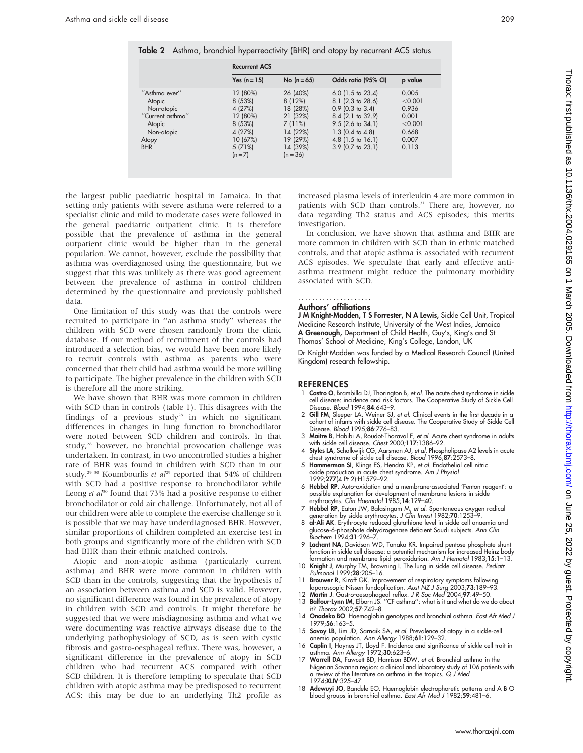|                  | <b>Recurrent ACS</b> |               |                             |         |  |  |
|------------------|----------------------|---------------|-----------------------------|---------|--|--|
|                  | Yes $(n = 15)$       | No $(n = 65)$ | Odds ratio (95% CI)         | p value |  |  |
| "Asthma ever"    | 12 (80%)             | 26 (40%)      | $6.0$ (1.5 to 23.4)         | 0.005   |  |  |
| Atopic           | 8 (53%)              | 8(12%)        | 8.1 (2.3 to 28.6)           | < 0.001 |  |  |
| Non-atopic       | 4 (27%)              | 18 (28%)      | $0.9$ (0.3 to 3.4)          | 0.936   |  |  |
| "Current asthma" | 12 (80%)             | 21 (32%)      | 8.4 (2.1 to 32.9)           | 0.001   |  |  |
| Atopic           | 8 (53%)              | 7(11%)        | $9.5(2.6 \text{ to } 34.1)$ | < 0.001 |  |  |
| Non-atopic       | 4 (27%)              | 14 (22%)      | $1.3$ (0.4 to 4.8)          | 0.668   |  |  |
| Atopy            | 10 (67%)             | 19 (29%)      | $4.8$ (1.5 to 16.1)         | 0.007   |  |  |
| <b>BHR</b>       | 5 (71%)              | 14 (39%)      | 3.9 (0.7 to 23.1)           | 0.113   |  |  |
|                  | $(n=7)$              | $(n = 36)$    |                             |         |  |  |

the largest public paediatric hospital in Jamaica. In that setting only patients with severe asthma were referred to a specialist clinic and mild to moderate cases were followed in the general paediatric outpatient clinic. It is therefore possible that the prevalence of asthma in the general outpatient clinic would be higher than in the general population. We cannot, however, exclude the possibility that asthma was overdiagnosed using the questionnaire, but we suggest that this was unlikely as there was good agreement between the prevalence of asthma in control children determined by the questionnaire and previously published data.

One limitation of this study was that the controls were recruited to participate in ''an asthma study'' whereas the children with SCD were chosen randomly from the clinic database. If our method of recruitment of the controls had introduced a selection bias, we would have been more likely to recruit controls with asthma as parents who were concerned that their child had asthma would be more willing to participate. The higher prevalence in the children with SCD is therefore all the more striking.

We have shown that BHR was more common in children with SCD than in controls (table 1). This disagrees with the findings of a previous study<sup>28</sup> in which no significant differences in changes in lung function to bronchodilator were noted between SCD children and controls. In that study,<sup>28</sup> however, no bronchial provocation challenge was undertaken. In contrast, in two uncontrolled studies a higher rate of BHR was found in children with SCD than in our study.<sup>29 30</sup> Koumbourlis et  $aI^{29}$  reported that 54% of children with SCD had a positive response to bronchodilator while Leong et  $al^{30}$  found that 73% had a positive response to either bronchodilator or cold air challenge. Unfortunately, not all of our children were able to complete the exercise challenge so it is possible that we may have underdiagnosed BHR. However, similar proportions of children completed an exercise test in both groups and significantly more of the children with SCD had BHR than their ethnic matched controls.

Atopic and non-atopic asthma (particularly current asthma) and BHR were more common in children with SCD than in the controls, suggesting that the hypothesis of an association between asthma and SCD is valid. However, no significant difference was found in the prevalence of atopy in children with SCD and controls. It might therefore be suggested that we were misdiagnosing asthma and what we were documenting was reactive airways disease due to the underlying pathophysiology of SCD, as is seen with cystic fibrosis and gastro-oesphageal reflux. There was, however, a significant difference in the prevalence of atopy in SCD children who had recurrent ACS compared with other SCD children. It is therefore tempting to speculate that SCD children with atopic asthma may be predisposed to recurrent ACS; this may be due to an underlying Th2 profile as

increased plasma levels of interleukin 4 are more common in patients with SCD than controls.<sup>31</sup> There are, however, no data regarding Th2 status and ACS episodes; this merits investigation.

In conclusion, we have shown that asthma and BHR are more common in children with SCD than in ethnic matched controls, and that atopic asthma is associated with recurrent ACS episodes. We speculate that early and effective antiasthma treatment might reduce the pulmonary morbidity associated with SCD.

# .....................

Authors' affiliations J M Knight-Madden, T S Forrester, N A Lewis, Sickle Cell Unit, Tropical Medicine Research Institute, University of the West Indies, Jamaica A Greenough, Department of Child Health, Guy's, King's and St Thomas' School of Medicine, King's College, London, UK

Dr Knight-Madden was funded by a Medical Research Council (United Kingdom) research fellowship.

#### **REFERENCES**

- 1 Castro O, Brambilla DJ, Thorington B, et al. The acute chest syndrome in sickle cell disease: incidence and risk factors. The Cooperative Study of Sickle Cell Disease. Blood 1994;84:643–9.
- 2 Gill FM, Sleeper LA, Weiner SJ, et al. Clinical events in the first decade in a cohort of infants with sickle cell disease. The Cooperative Study of Sickle Cell Disease. Blood 1995;86:776–83.
- 3 Maitre B, Habibi A, Roudot-Thoraval F, et al. Acute chest syndrome in adults with sickle cell disease. Chest 2000;117:1386–92.
- 4 Styles LA, Schalkwijk CG, Aarsman AJ, et al. Phospholipase A2 levels in acute chest syndrome of sickle cell disease. Blood 1996;87:2573–8.
- 5 Hammerman SI, Klings ES, Hendra KP, et al. Endothelial cell nitric oxide production in acute chest syndrome. Am J Physiol 1999;277(4 Pt 2):H1579–92.
- 6 Hebbel RP. Auto-oxidation and a membrane-associated 'Fenton reagent': a possible explanation for development of membrane lesions in sickle erythrocytes. Clin Haematol 1985;14:129-40.
- 7 Hebbel RP, Eaton JW, Balasingam M, et al. Spontaneous oxygen radical generation by sickle erythrocytes. J Clin Invest 1982;70:1253–9.
- 8 **al-Ali AK**. Erythrocyte reduced glutathione level in sickle cell anaemia and glucose-6-phosphate dehydrogenase deficient Saudi subjects. Ann Clin Biochem 1994;31:296-7
- 9 Lachant NA, Davidson WD, Tanaka KR. Impaired pentose phosphate shunt function in sickle cell disease: a potential mechanism for increased Heinz body formation and membrane lipid peroxidation. Am J Hematol 1983;15:1–13.
- 10 Knight J, Murphy TM, Browning I. The lung in sickle cell disease. Pediatr Pulmonol 1999;28:205-16.
- 11 Brouwer R, Kiroff GK. Improvement of respiratory symptoms following
- laparoscopic Nissen fundoplication. Aust NZ J Surg 2003;73:189–93. 12 Martin J. Gastro-oesophageal reflux. J R Soc Med 2004;97:49–50. 13 Balfour-Lynn IM, Elborn JS. ''CF asthma'': what is it and what do we do about
	- it? Thorax 2002;57:742–8. 14 Onadeko BO. Haemoglobin genotypes and bronchial asthma. East Afr Med J 1979;56:163–5.
	- 15 Savoy LB, Lim JD, Sarnaik SA, et al. Prevalence of atopy in a sickle-cell
	- anemia population. *Ann Allergy* 1988;**61**:129–32.<br>16 **Caplin I**, Haynes JT, Lloyd F. Incidence and significance of sickle cell trait in asthma. Ann Allergy 1972;30:623–6.
	- 17 Warrell DA, Fawcett BD, Harrison BDW, et al. Bronchial asthma in the Nigerian Savanna region: a clinical and laboratory study of 106 patients with a review of the literature on asthma in the tropics. Q J Med 1974;XLIV:325–47.
	- 18 Adewuyi JO, Bandele EO. Haemoglobin electrophoretic patterns and A B O blood groups in bronchial asthma. East Afr Med J 1982;59:481–6.